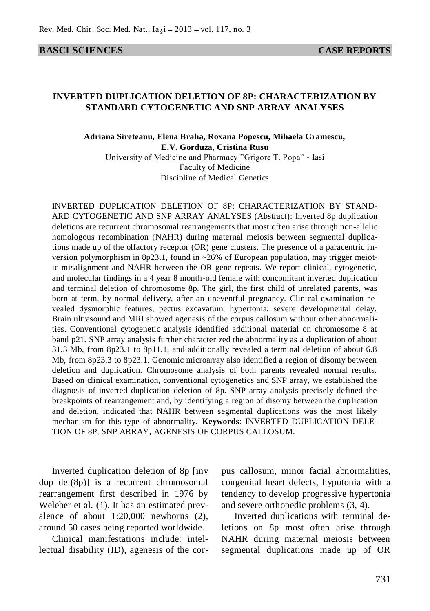#### **BASCI SCIENCES CASE REPORTS**

## **INVERTED DUPLICATION DELETION OF 8P: CHARACTERIZATION BY STANDARD CYTOGENETIC AND SNP ARRAY ANALYSES**

# **Adriana Sireteanu, Elena Braha, Roxana Popescu, Mihaela Gramescu, E.V. Gorduza, Cristina Rusu**

University of Medicine and Pharmacy "Grigore T. Popa" - Iasi Faculty of Medicine Discipline of Medical Genetics

INVERTED DUPLICATION DELETION OF 8P: CHARACTERIZATION BY STAND-ARD CYTOGENETIC AND SNP ARRAY ANALYSES (Abstract): Inverted 8p duplication deletions are recurrent chromosomal rearrangements that most often arise through non-allelic homologous recombination (NAHR) during maternal meiosis between segmental duplications made up of the olfactory receptor (OR) gene clusters. The presence of a paracentric inversion polymorphism in 8p23.1, found in ~26% of European population, may trigger meiotic misalignment and NAHR between the OR gene repeats. We report clinical, cytogenetic, and molecular findings in a 4 year 8 month-old female with concomitant inverted duplication and terminal deletion of chromosome 8p. The girl, the first child of unrelated parents, was born at term, by normal delivery, after an uneventful pregnancy. Clinical examination revealed dysmorphic features, pectus excavatum, hypertonia, severe developmental delay. Brain ultrasound and MRI showed agenesis of the corpus callosum without other abnormalities. Conventional cytogenetic analysis identified additional material on chromosome 8 at band p21. SNP array analysis further characterized the abnormality as a duplication of about 31.3 Mb, from 8p23.1 to 8p11.1, and additionally revealed a terminal deletion of about 6.8 Mb, from 8p23.3 to 8p23.1. Genomic microarray also identified a region of disomy between deletion and duplication. Chromosome analysis of both parents revealed normal results. Based on clinical examination, conventional cytogenetics and SNP array, we established the diagnosis of inverted duplication deletion of 8p. SNP array analysis precisely defined the breakpoints of rearrangement and, by identifying a region of disomy between the duplication and deletion, indicated that NAHR between segmental duplications was the most likely mechanism for this type of abnormality. **Keywords**: INVERTED DUPLICATION DELE-TION OF 8P, SNP ARRAY, AGENESIS OF CORPUS CALLOSUM.

Inverted duplication deletion of 8p [inv dup del(8p)] is a recurrent chromosomal rearrangement first described in 1976 by Weleber et al. (1). It has an estimated prevalence of about 1:20,000 newborns (2), around 50 cases being reported worldwide.

Clinical manifestations include: intellectual disability (ID), agenesis of the corpus callosum, minor facial abnormalities, congenital heart defects, hypotonia with a tendency to develop progressive hypertonia and severe orthopedic problems (3, 4).

Inverted duplications with terminal deletions on 8p most often arise through NAHR during maternal meiosis between segmental duplications made up of OR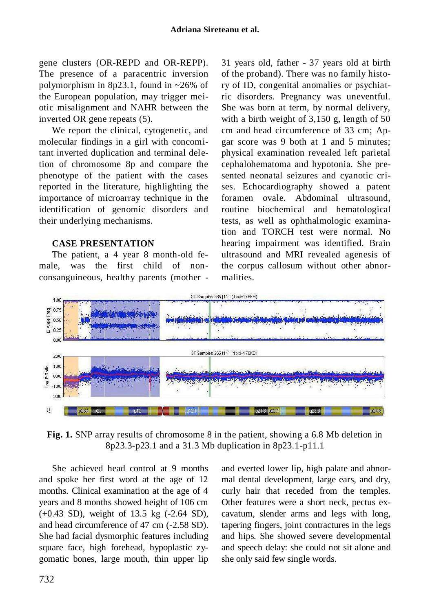gene clusters (OR-REPD and OR-REPP). The presence of a paracentric inversion polymorphism in 8p23.1, found in ~26% of the European population, may trigger meiotic misalignment and NAHR between the inverted OR gene repeats (5).

We report the clinical, cytogenetic, and molecular findings in a girl with concomitant inverted duplication and terminal deletion of chromosome 8p and compare the phenotype of the patient with the cases reported in the literature, highlighting the importance of microarray technique in the identification of genomic disorders and their underlying mechanisms.

## **CASE PRESENTATION**

The patient, a 4 year 8 month-old female, was the first child of nonconsanguineous, healthy parents (mother - 31 years old, father - 37 years old at birth of the proband). There was no family history of ID, congenital anomalies or psychiatric disorders. Pregnancy was uneventful. She was born at term, by normal delivery, with a birth weight of 3,150 g, length of 50 cm and head circumference of 33 cm; Apgar score was 9 both at 1 and 5 minutes; physical examination revealed left parietal cephalohematoma and hypotonia. She presented neonatal seizures and cyanotic crises. Echocardiography showed a patent foramen ovale. Abdominal ultrasound, routine biochemical and hematological tests, as well as ophthalmologic examination and TORCH test were normal. No hearing impairment was identified. Brain ultrasound and MRI revealed agenesis of the corpus callosum without other abnormalities.



**Fig. 1.** SNP array results of chromosome 8 in the patient, showing a 6.8 Mb deletion in 8p23.3-p23.1 and a 31.3 Mb duplication in 8p23.1-p11.1

She achieved head control at 9 months and spoke her first word at the age of 12 months. Clinical examination at the age of 4 years and 8 months showed height of 106 cm (+0.43 SD), weight of 13.5 kg (-2.64 SD), and head circumference of 47 cm (-2.58 SD). She had facial dysmorphic features including square face, high forehead, hypoplastic zygomatic bones, large mouth, thin upper lip and everted lower lip, high palate and abnormal dental development, large ears, and dry, curly hair that receded from the temples. Other features were a short neck, pectus excavatum, slender arms and legs with long, tapering fingers, joint contractures in the legs and hips. She showed severe developmental and speech delay: she could not sit alone and she only said few single words.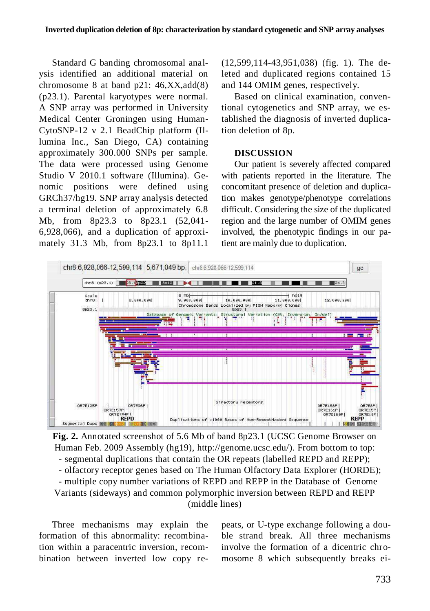Standard G banding chromosomal analysis identified an additional material on chromosome 8 at band  $p21: 46, XX, add(8)$ (p23.1). Parental karyotypes were normal. A SNP array was performed in University Medical Center Groningen using Human-CytoSNP-12 v 2.1 BeadChip platform (Illumina Inc., San Diego, CA) containing approximately 300.000 SNPs per sample. The data were processed using Genome Studio V 2010.1 software (Illumina). Genomic positions were defined using GRCh37/hg19. SNP array analysis detected a terminal deletion of approximately 6.8 Mb, from 8p23.3 to 8p23.1 (52,041- 6,928,066), and a duplication of approximately 31.3 Mb, from 8p23.1 to 8p11.1

(12,599,114-43,951,038) (fig. 1). The deleted and duplicated regions contained 15 and 144 OMIM genes, respectively.

Based on clinical examination, conventional cytogenetics and SNP array, we established the diagnosis of inverted duplication deletion of 8p.

#### **DISCUSSION**

Our patient is severely affected compared with patients reported in the literature. The concomitant presence of deletion and duplication makes genotype/phenotype correlations difficult. Considering the size of the duplicated region and the large number of OMIM genes involved, the phenotypic findings in our patient are mainly due to duplication.



**Fig. 2.** Annotated screenshot of 5.6 Mb of band 8p23.1 (UCSC Genome Browser on Human Feb. 2009 Assembly (hg19), http://genome.ucsc.edu/). From bottom to top: - segmental duplications that contain the OR repeats (labelled REPD and REPP); - olfactory receptor genes based on The Human Olfactory Data Explorer (HORDE); - multiple copy number variations of REPD and REPP in the Database of Genome Variants (sideways) and common polymorphic inversion between REPD and REPP (middle lines)

Three mechanisms may explain the formation of this abnormality: recombination within a paracentric inversion, recombination between inverted low copy repeats, or U-type exchange following a double strand break. All three mechanisms involve the formation of a dicentric chromosome 8 which subsequently breaks ei